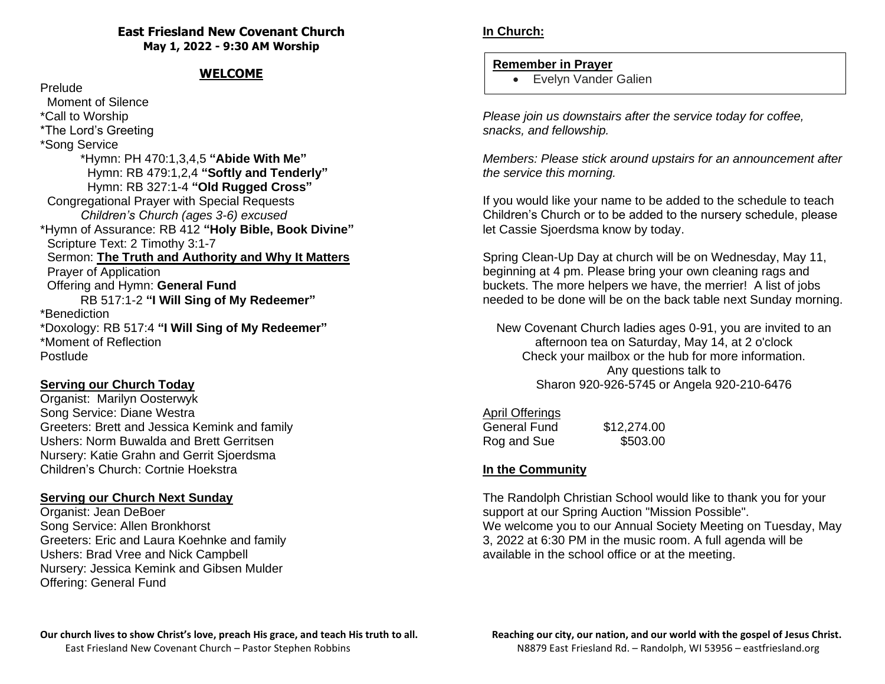### **East Friesland New Covenant Church May 1, 2022 - 9:30 AM Worship**

# **WELCOME**

#### Prelude

 Moment of Silence \*Call to Worship \*The Lord's Greeting \*Song Service \*Hymn: PH 470:1,3,4,5 **"Abide With Me"** Hymn: RB 479:1,2,4 **"Softly and Tenderly"** Hymn: RB 327:1-4 **"Old Rugged Cross"** Congregational Prayer with Special Requests *Children's Church (ages 3-6) excused* \*Hymn of Assurance: RB 412 **"Holy Bible, Book Divine"** Scripture Text: 2 Timothy 3:1-7 Sermon: **The Truth and Authority and Why It Matters** Prayer of Application Offering and Hymn: **General Fund** RB 517:1-2 **"I Will Sing of My Redeemer"** \*Benediction \*Doxology: RB 517:4 **"I Will Sing of My Redeemer"** \*Moment of Reflection Postlude

# **Serving our Church Today**

Organist: Marilyn Oosterwyk Song Service: Diane Westra Greeters: Brett and Jessica Kemink and family Ushers: Norm Buwalda and Brett Gerritsen Nursery: Katie Grahn and Gerrit Sjoerdsma Children's Church: Cortnie Hoekstra

# **Serving our Church Next Sunday**

Organist: Jean DeBoer Song Service: Allen Bronkhorst Greeters: Eric and Laura Koehnke and family Ushers: Brad Vree and Nick Campbell Nursery: Jessica Kemink and Gibsen Mulder Offering: General Fund

#### **Remember in Prayer**

• Evelyn Vander Galien

*Please join us downstairs after the service today for coffee, snacks, and fellowship.*

*Members: Please stick around upstairs for an announcement after the service this morning.* 

If you would like your name to be added to the schedule to teach Children's Church or to be added to the nursery schedule, please let Cassie Sjoerdsma know by today.

Spring Clean-Up Day at church will be on Wednesday, May 11, beginning at 4 pm. Please bring your own cleaning rags and buckets. The more helpers we have, the merrier! A list of jobs needed to be done will be on the back table next Sunday morning.

New Covenant Church ladies ages 0-91, you are invited to an afternoon tea on Saturday, May 14, at 2 o'clock Check your mailbox or the hub for more information. Any questions talk to Sharon 920-926-5745 or Angela 920-210-6476

### April Offerings

| General Fund | \$12,274.00 |
|--------------|-------------|
| Rog and Sue  | \$503.00    |

### **In the Community**

The Randolph Christian School would like to thank you for your support at our Spring Auction "Mission Possible". We welcome you to our Annual Society Meeting on Tuesday, May 3, 2022 at 6:30 PM in the music room. A full agenda will be available in the school office or at the meeting.